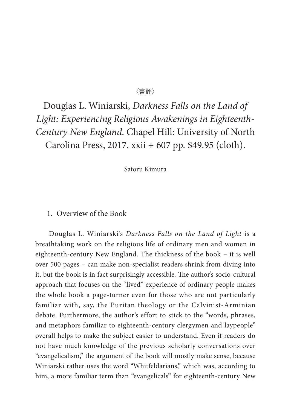## 〈書評〉

Douglas L. Winiarski, *Darkness Falls on the Land of Light: Experiencing Religious Awakenings in Eighteenth-Century New England*. Chapel Hill: University of North Carolina Press, 2017. xxii + 607 pp. \$49.95 (cloth).

Satoru Kimura

## 1. Overview of the Book

Douglas L. Winiarski's *Darkness Falls on the Land of Light* is a breathtaking work on the religious life of ordinary men and women in eighteenth-century New England. The thickness of the book – it is well over 500 pages – can make non-specialist readers shrink from diving into it, but the book is in fact surprisingly accessible. The author's socio-cultural approach that focuses on the "lived" experience of ordinary people makes the whole book a page-turner even for those who are not particularly familiar with, say, the Puritan theology or the Calvinist-Arminian debate. Furthermore, the author's effort to stick to the "words, phrases, and metaphors familiar to eighteenth-century clergymen and laypeople" overall helps to make the subject easier to understand. Even if readers do not have much knowledge of the previous scholarly conversations over "evangelicalism," the argument of the book will mostly make sense, because Winiarski rather uses the word "Whitfeldarians," which was, according to him, a more familiar term than "evangelicals" for eighteenth-century New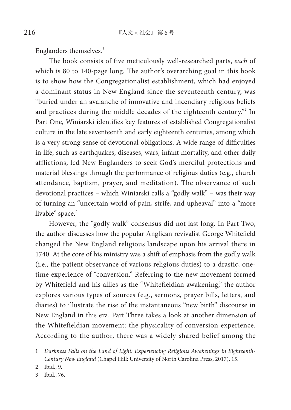Englanders themselves.<sup>1</sup>

The book consists of five meticulously well-researched parts, *each* of which is 80 to 140-page long. The author's overarching goal in this book is to show how the Congregationalist establishment, which had enjoyed a dominant status in New England since the seventeenth century, was "buried under an avalanche of innovative and incendiary religious beliefs and practices during the middle decades of the eighteenth century." In Part One, Winiarski identifies key features of established Congregationalist culture in the late seventeenth and early eighteenth centuries, among which is a very strong sense of devotional obligations. A wide range of difficulties in life, such as earthquakes, diseases, wars, infant mortality, and other daily afflictions, led New Englanders to seek God's merciful protections and material blessings through the performance of religious duties (e.g., church attendance, baptism, prayer, and meditation). The observance of such devotional practices – which Winiarski calls a "godly walk" – was their way of turning an "uncertain world of pain, strife, and upheaval" into a "more livable" space.<sup>3</sup>

However, the "godly walk" consensus did not last long. In Part Two, the author discusses how the popular Anglican revivalist George Whitefield changed the New England religious landscape upon his arrival there in 1740. At the core of his ministry was a shift of emphasis from the godly walk (i.e., the patient observance of various religious duties) to a drastic, onetime experience of "conversion." Referring to the new movement formed by Whitefield and his allies as the "Whitefieldian awakening," the author explores various types of sources (e.g., sermons, prayer bills, letters, and diaries) to illustrate the rise of the instantaneous "new birth" discourse in New England in this era. Part Three takes a look at another dimension of the Whitefieldian movement: the physicality of conversion experience. According to the author, there was a widely shared belief among the

<sup>1</sup> *Darkness Falls on the Land of Light: Experiencing Religious Awakenings in Eighteenth-Century New England* (Chapel Hill: University of North Carolina Press, 2017), 15.

<sup>2</sup> Ibid., 9.

<sup>3</sup> Ibid., 76.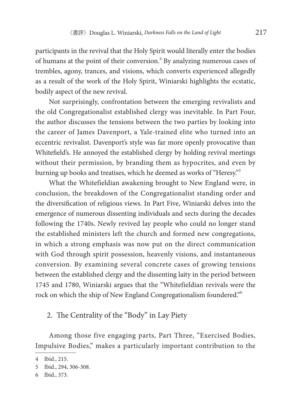participants in the revival that the Holy Spirit would literally enter the bodies of humans at the point of their conversion.<sup>4</sup> By analyzing numerous cases of trembles, agony, trances, and visions, which converts experienced allegedly as a result of the work of the Holy Spirit, Winiarski highlights the ecstatic, bodily aspect of the new revival.

Not surprisingly, confrontation between the emerging revivalists and the old Congregationalist established clergy was inevitable. In Part Four, the author discusses the tensions between the two parties by looking into the career of James Davenport, a Yale-trained elite who turned into an eccentric revivalist. Davenport's style was far more openly provocative than Whitefield's. He annoyed the established clergy by holding revival meetings without their permission, by branding them as hypocrites, and even by burning up books and treatises, which he deemed as works of "Heresy."5

What the Whitefieldian awakening brought to New England were, in conclusion, the breakdown of the Congregationalist standing order and the diversification of religious views. In Part Five, Winiarski delves into the emergence of numerous dissenting individuals and sects during the decades following the 1740s. Newly revived lay people who could no longer stand the established ministers left the church and formed new congregations, in which a strong emphasis was now put on the direct communication with God through spirit possession, heavenly visions, and instantaneous conversion. By examining several concrete cases of growing tensions between the established clergy and the dissenting laity in the period between 1745 and 1780, Winiarski argues that the "Whitefieldian revivals were the rock on which the ship of New England Congregationalism foundered."6

## 2. The Centrality of the "Body" in Lay Piety

Among those five engaging parts, Part Three, "Exercised Bodies, Impulsive Bodies," makes a particularly important contribution to the

<sup>4</sup> Ibid., 215.

<sup>5</sup> Ibid., 294, 306-308.

<sup>6</sup> Ibid., 373.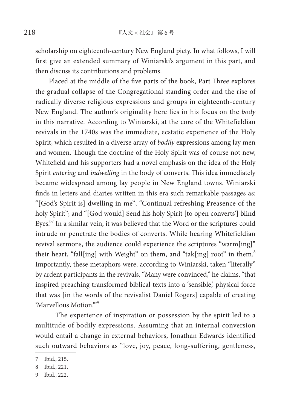scholarship on eighteenth-century New England piety. In what follows, I will first give an extended summary of Winiarski's argument in this part, and then discuss its contributions and problems.

Placed at the middle of the five parts of the book, Part Three explores the gradual collapse of the Congregational standing order and the rise of radically diverse religious expressions and groups in eighteenth-century New England. The author's originality here lies in his focus on the *body* in this narrative. According to Winiarski, at the core of the Whitefieldian revivals in the 1740s was the immediate, ecstatic experience of the Holy Spirit, which resulted in a diverse array of *bodily* expressions among lay men and women. Though the doctrine of the Holy Spirit was of course not new, Whitefield and his supporters had a novel emphasis on the idea of the Holy Spirit *entering* and *indwelling* in the body of converts. This idea immediately became widespread among lay people in New England towns. Winiarski finds in letters and diaries written in this era such remarkable passages as: "[God's Spirit is] dwelling in me"; "Continual refreshing Preasence of the holy Spirit"; and "[God would] Send his holy Spirit [to open converts'] blind Eyes."<sup>7</sup> In a similar vein, it was believed that the Word or the scriptures could intrude or penetrate the bodies of converts. While hearing Whitefieldian revival sermons, the audience could experience the scriptures "warm[ing]" their heart, "fall[ing] with Weight" on them, and "tak[ing] root" in them.<sup>8</sup> Importantly, these metaphors were, according to Winiarski, taken "literally" by ardent participants in the revivals. "Many were convinced," he claims, "that inspired preaching transformed biblical texts into a 'sensible,' physical force that was [in the words of the revivalist Daniel Rogers] capable of creating 'Marvellous Motion.'"9

The experience of inspiration or possession by the spirit led to a multitude of bodily expressions. Assuming that an internal conversion would entail a change in external behaviors, Jonathan Edwards identified such outward behaviors as "love, joy, peace, long-suffering, gentleness,

<sup>7</sup> Ibid., 215.

<sup>8</sup> Ibid., 221.

<sup>9</sup> Ibid., 222.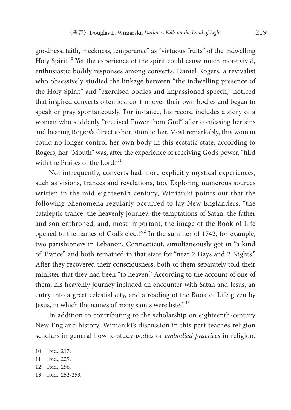goodness, faith, meekness, temperance" as "virtuous fruits" of the indwelling Holy Spirit.<sup>10</sup> Yet the experience of the spirit could cause much more vivid, enthusiastic bodily responses among converts. Daniel Rogers, a revivalist who obsessively studied the linkage between "the indwelling presence of the Holy Spirit" and "exercised bodies and impassioned speech," noticed that inspired converts often lost control over their own bodies and began to speak or pray spontaneously. For instance, his record includes a story of a woman who suddenly "received Power from God" after confessing her sins and hearing Rogers's direct exhortation to her. Most remarkably, this woman could no longer control her own body in this ecstatic state: according to Rogers, her "Mouth" was, after the experience of receiving God's power, "fill'd with the Praises of the Lord."<sup>11</sup>

Not infrequently, converts had more explicitly mystical experiences, such as visions, trances and revelations, too. Exploring numerous sources written in the mid-eighteenth century, Winiarski points out that the following phenomena regularly occurred to lay New Englanders: "the cataleptic trance, the heavenly journey, the temptations of Satan, the father and son enthroned, and, most important, the image of the Book of Life opened to the names of God's elect."12 In the summer of 1742, for example, two parishioners in Lebanon, Connecticut, simultaneously got in "a kind of Trance" and both remained in that state for "near 2 Days and 2 Nights." After they recovered their consciousness, both of them separately told their minister that they had been "to heaven." According to the account of one of them, his heavenly journey included an encounter with Satan and Jesus, an entry into a great celestial city, and a reading of the Book of Life given by Jesus, in which the names of many saints were listed.<sup>13</sup>

In addition to contributing to the scholarship on eighteenth-century New England history, Winiarski's discussion in this part teaches religion scholars in general how to study *bodies* or *embodied practices* in religion.

<sup>10</sup> Ibid., 217.

<sup>11</sup> Ibid., 229.

<sup>12</sup> Ibid., 256.

<sup>13</sup> Ibid., 252-253.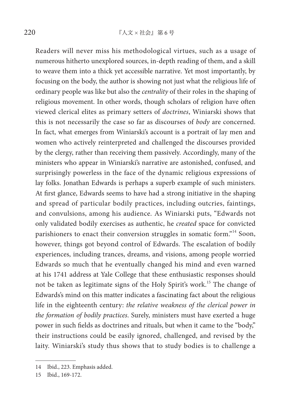Readers will never miss his methodological virtues, such as a usage of numerous hitherto unexplored sources, in-depth reading of them, and a skill to weave them into a thick yet accessible narrative. Yet most importantly, by focusing on the body, the author is showing not just what the religious life of ordinary people was like but also the *centrality* of their roles in the shaping of religious movement. In other words, though scholars of religion have often viewed clerical elites as primary setters of *doctrines*, Winiarski shows that this is not necessarily the case so far as discourses of *body* are concerned. In fact, what emerges from Winiarski's account is a portrait of lay men and women who actively reinterpreted and challenged the discourses provided by the clergy, rather than receiving them passively. Accordingly, many of the ministers who appear in Winiarski's narrative are astonished, confused, and surprisingly powerless in the face of the dynamic religious expressions of lay folks. Jonathan Edwards is perhaps a superb example of such ministers. At first glance, Edwards seems to have had a strong initiative in the shaping and spread of particular bodily practices, including outcries, faintings, and convulsions, among his audience. As Winiarski puts, "Edwards not only validated bodily exercises as authentic, he *created* space for convicted parishioners to enact their conversion struggles in somatic form."<sup>14</sup> Soon, however, things got beyond control of Edwards. The escalation of bodily experiences, including trances, dreams, and visions, among people worried Edwards so much that he eventually changed his mind and even warned at his 1741 address at Yale College that these enthusiastic responses should not be taken as legitimate signs of the Holy Spirit's work.<sup>15</sup> The change of Edwards's mind on this matter indicates a fascinating fact about the religious life in the eighteenth century: *the relative weakness of the clerical power in the formation of bodily practices*. Surely, ministers must have exerted a huge power in such fields as doctrines and rituals, but when it came to the "body," their instructions could be easily ignored, challenged, and revised by the laity. Winiarski's study thus shows that to study bodies is to challenge a

<sup>14</sup> Ibid., 223. Emphasis added.

<sup>15</sup> Ibid., 169-172.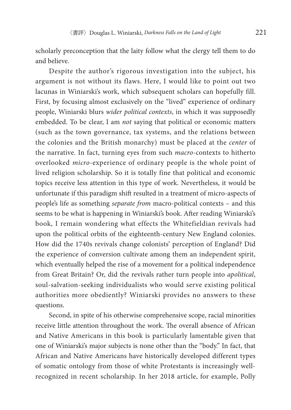scholarly preconception that the laity follow what the clergy tell them to do and believe.

Despite the author's rigorous investigation into the subject, his argument is not without its flaws. Here, I would like to point out two lacunas in Winiarski's work, which subsequent scholars can hopefully fill. First, by focusing almost exclusively on the "lived" experience of ordinary people, Winiarski blurs *wider political contexts*, in which it was supposedly embedded. To be clear, I am *not* saying that political or economic matters (such as the town governance, tax systems, and the relations between the colonies and the British monarchy) must be placed at the *center* of the narrative. In fact, turning eyes from such *macro*-contexts to hitherto overlooked *micro*-experience of ordinary people is the whole point of lived religion scholarship. So it is totally fine that political and economic topics receive less attention in this type of work. Nevertheless, it would be unfortunate if this paradigm shift resulted in a treatment of micro-aspects of people's life as something *separate from* macro-political contexts – and this seems to be what is happening in Winiarski's book. After reading Winiarski's book, I remain wondering what effects the Whitefieldian revivals had upon the political orbits of the eighteenth-century New England colonies. How did the 1740s revivals change colonists' perception of England? Did the experience of conversion cultivate among them an independent spirit, which eventually helped the rise of a movement for a political independence from Great Britain? Or, did the revivals rather turn people into *apolitical*, soul-salvation-seeking individualists who would serve existing political authorities more obediently? Winiarski provides no answers to these questions.

Second, in spite of his otherwise comprehensive scope, racial minorities receive little attention throughout the work. The overall absence of African and Native Americans in this book is particularly lamentable given that one of Winiarski's major subjects is none other than the "body." In fact, that African and Native Americans have historically developed different types of somatic ontology from those of white Protestants is increasingly wellrecognized in recent scholarship. In her 2018 article, for example, Polly